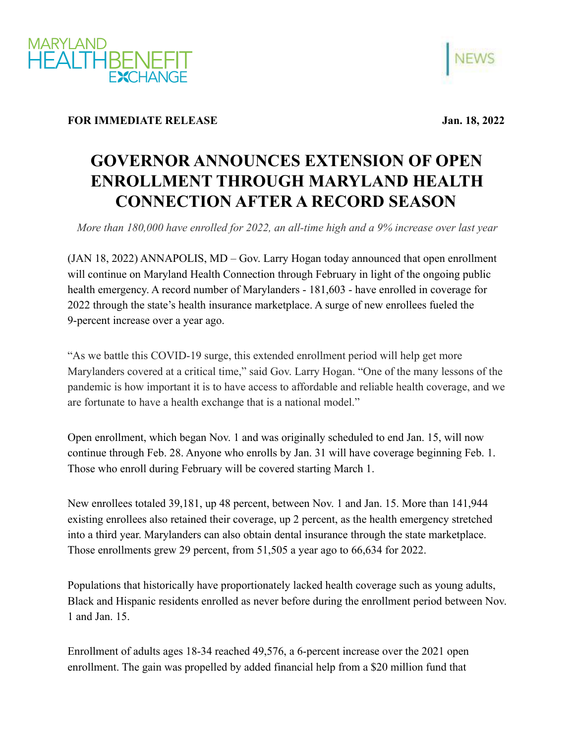



## **FOR IMMEDIATE RELEASE Jan. 18, 2022**

## **GOVERNOR ANNOUNCES EXTENSION OF OPEN ENROLLMENT THROUGH MARYLAND HEALTH CONNECTION AFTER A RECORD SEASON**

*More than 180,000 have enrolled for 2022, an all-time high and a 9% increase over last year*

(JAN 18, 2022) ANNAPOLIS, MD – Gov. Larry Hogan today announced that open enrollment will continue on Maryland Health Connection through February in light of the ongoing public health emergency. A record number of Marylanders - 181,603 - have enrolled in coverage for 2022 through the state's health insurance marketplace. A surge of new enrollees fueled the 9-percent increase over a year ago.

"As we battle this COVID-19 surge, this extended enrollment period will help get more Marylanders covered at a critical time," said Gov. Larry Hogan. "One of the many lessons of the pandemic is how important it is to have access to affordable and reliable health coverage, and we are fortunate to have a health exchange that is a national model."

Open enrollment, which began Nov. 1 and was originally scheduled to end Jan. 15, will now continue through Feb. 28. Anyone who enrolls by Jan. 31 will have coverage beginning Feb. 1. Those who enroll during February will be covered starting March 1.

New enrollees totaled 39,181, up 48 percent, between Nov. 1 and Jan. 15. More than 141,944 existing enrollees also retained their coverage, up 2 percent, as the health emergency stretched into a third year. Marylanders can also obtain dental insurance through the state marketplace. Those enrollments grew 29 percent, from 51,505 a year ago to 66,634 for 2022.

Populations that historically have proportionately lacked health coverage such as young adults, Black and Hispanic residents enrolled as never before during the enrollment period between Nov. 1 and Jan. 15.

Enrollment of adults ages 18-34 reached 49,576, a 6-percent increase over the 2021 open enrollment. The gain was propelled by added financial help from a \$20 million fund that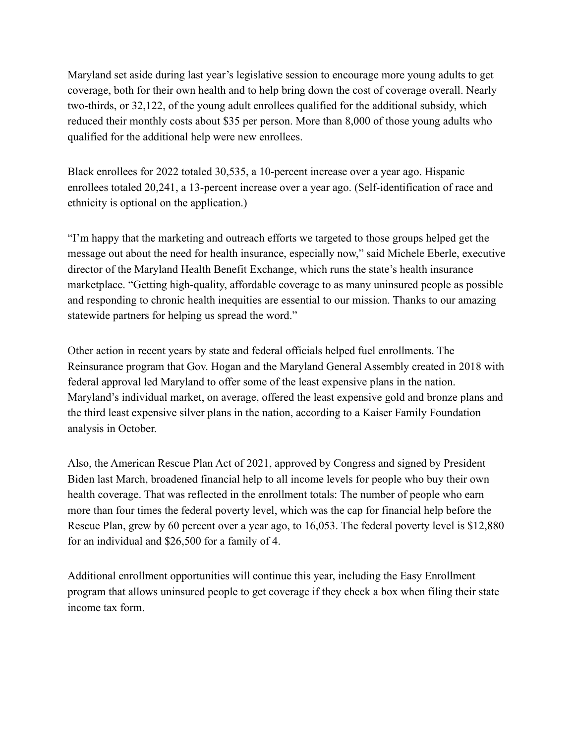Maryland set aside during last year's legislative session to encourage more young adults to get coverage, both for their own health and to help bring down the cost of coverage overall. Nearly two-thirds, or 32,122, of the young adult enrollees qualified for the additional subsidy, which reduced their monthly costs about \$35 per person. More than 8,000 of those young adults who qualified for the additional help were new enrollees.

Black enrollees for 2022 totaled 30,535, a 10-percent increase over a year ago. Hispanic enrollees totaled 20,241, a 13-percent increase over a year ago. (Self-identification of race and ethnicity is optional on the application.)

"I'm happy that the marketing and outreach efforts we targeted to those groups helped get the message out about the need for health insurance, especially now," said Michele Eberle, executive director of the Maryland Health Benefit Exchange, which runs the state's health insurance marketplace. "Getting high-quality, affordable coverage to as many uninsured people as possible and responding to chronic health inequities are essential to our mission. Thanks to our amazing statewide partners for helping us spread the word."

Other action in recent years by state and federal officials helped fuel enrollments. The Reinsurance program that Gov. Hogan and the Maryland General Assembly created in 2018 with federal approval led Maryland to offer some of the least expensive plans in the nation. Maryland's individual market, on average, offered the least expensive gold and bronze plans and the third least expensive silver plans in the nation, according to a Kaiser Family Foundation analysis in October.

Also, the American Rescue Plan Act of 2021, approved by Congress and signed by President Biden last March, broadened financial help to all income levels for people who buy their own health coverage. That was reflected in the enrollment totals: The number of people who earn more than four times the federal poverty level, which was the cap for financial help before the Rescue Plan, grew by 60 percent over a year ago, to 16,053. The federal poverty level is \$12,880 for an individual and \$26,500 for a family of 4.

Additional enrollment opportunities will continue this year, including the Easy Enrollment program that allows uninsured people to get coverage if they check a box when filing their state income tax form.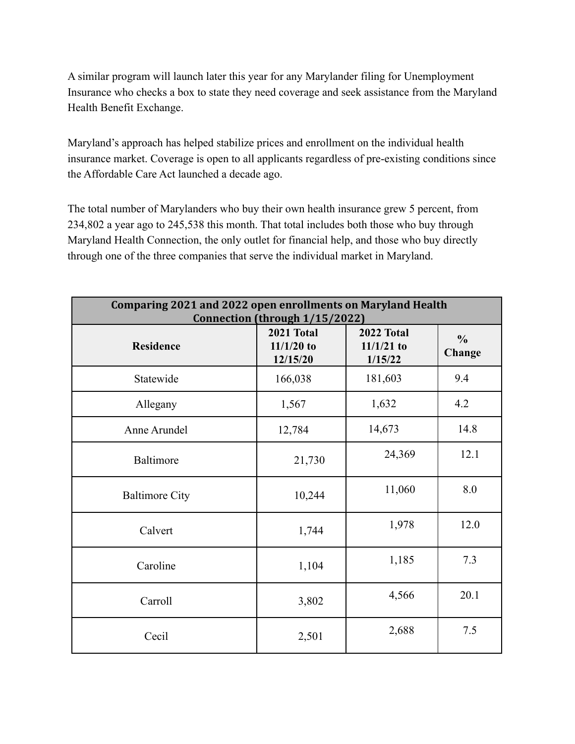A similar program will launch later this year for any Marylander filing for Unemployment Insurance who checks a box to state they need coverage and seek assistance from the Maryland Health Benefit Exchange.

Maryland's approach has helped stabilize prices and enrollment on the individual health insurance market. Coverage is open to all applicants regardless of pre-existing conditions since the Affordable Care Act launched a decade ago.

The total number of Marylanders who buy their own health insurance grew 5 percent, from 234,802 a year ago to 245,538 this month. That total includes both those who buy through Maryland Health Connection, the only outlet for financial help, and those who buy directly through one of the three companies that serve the individual market in Maryland.

| <b>Comparing 2021 and 2022 open enrollments on Maryland Health</b><br>Connection (through 1/15/2022) |                                        |                                       |                         |  |
|------------------------------------------------------------------------------------------------------|----------------------------------------|---------------------------------------|-------------------------|--|
| <b>Residence</b>                                                                                     | 2021 Total<br>$11/1/20$ to<br>12/15/20 | 2022 Total<br>$11/1/21$ to<br>1/15/22 | $\frac{0}{0}$<br>Change |  |
| Statewide                                                                                            | 166,038                                | 181,603                               | 9.4                     |  |
| Allegany                                                                                             | 1,567                                  | 1,632                                 | 4.2                     |  |
| Anne Arundel                                                                                         | 12,784                                 | 14,673                                | 14.8                    |  |
| Baltimore                                                                                            | 21,730                                 | 24,369                                | 12.1                    |  |
| <b>Baltimore City</b>                                                                                | 10,244                                 | 11,060                                | 8.0                     |  |
| Calvert                                                                                              | 1,744                                  | 1,978                                 | 12.0                    |  |
| Caroline                                                                                             | 1,104                                  | 1,185                                 | 7.3                     |  |
| Carroll                                                                                              | 3,802                                  | 4,566                                 | 20.1                    |  |
| Cecil                                                                                                | 2,501                                  | 2,688                                 | 7.5                     |  |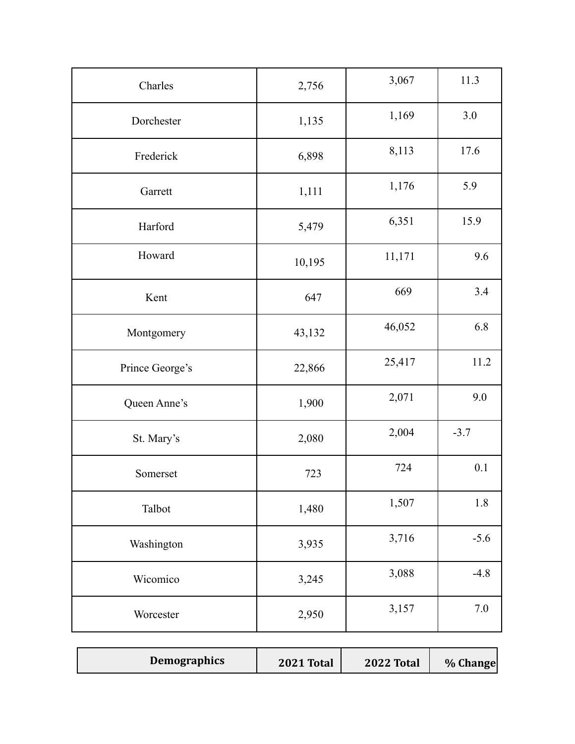| Charles         | 2,756  | 3,067  | 11.3   |
|-----------------|--------|--------|--------|
| Dorchester      | 1,135  | 1,169  | 3.0    |
| Frederick       | 6,898  | 8,113  | 17.6   |
| Garrett         | 1,111  | 1,176  | 5.9    |
| Harford         | 5,479  | 6,351  | 15.9   |
| Howard          | 10,195 | 11,171 | 9.6    |
| Kent            | 647    | 669    | 3.4    |
| Montgomery      | 43,132 | 46,052 | 6.8    |
| Prince George's | 22,866 | 25,417 | 11.2   |
| Queen Anne's    | 1,900  | 2,071  | 9.0    |
| St. Mary's      | 2,080  | 2,004  | $-3.7$ |
| Somerset        | 723    | 724    | 0.1    |
| Talbot          | 1,480  | 1,507  | 1.8    |
| Washington      | 3,935  | 3,716  | $-5.6$ |
| Wicomico        | 3,245  | 3,088  | $-4.8$ |
| Worcester       | 2,950  | 3,157  | 7.0    |

| <b>Demographics</b> | <b>2021 Total</b> | <b>2022 Total</b> | % Change |
|---------------------|-------------------|-------------------|----------|
|---------------------|-------------------|-------------------|----------|